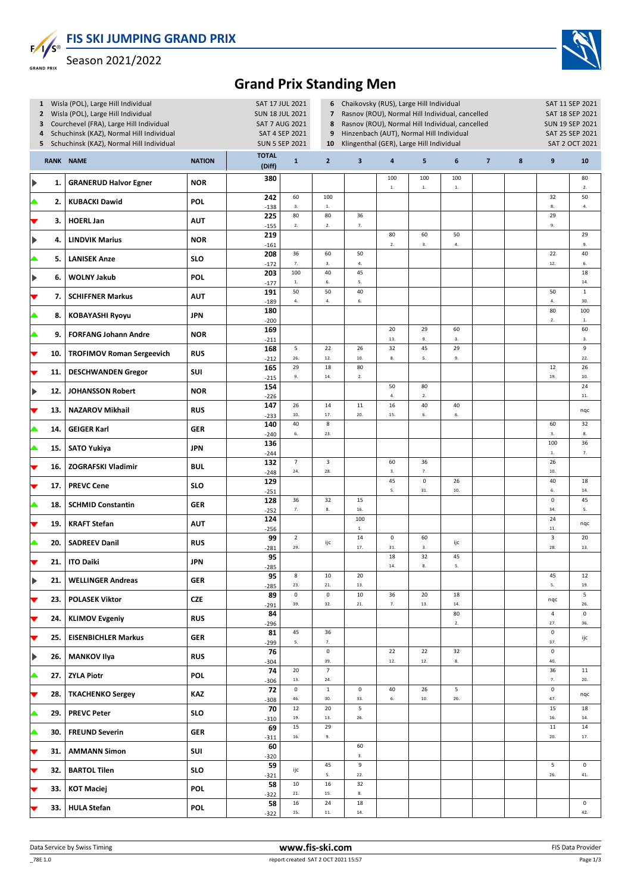**FIS SKI JUMPING GRAND PRIX**



Season 2021/2022



## **Grand Prix Standing Men**

| $\mathbf{2}$<br>3<br>4                |     | 1 Wisla (POL), Large Hill Individual<br>Wisla (POL), Large Hill Individual<br>Courchevel (FRA), Large Hill Individual<br>Schuchinsk (KAZ), Normal Hill Individual<br>5 Schuchinsk (KAZ), Normal Hill Individual | SAT 17 JUL 2021<br><b>SUN 18 JUL 2021</b><br><b>SAT 7 AUG 2021</b><br>SAT 4 SEP 2021<br><b>SUN 5 SEP 2021</b> | 6<br>$\overline{\mathbf{z}}$<br>8<br>9<br>10 | Chaikovsky (RUS), Large Hill Individual<br>Rasnov (ROU), Normal Hill Individual, cancelled<br>Rasnov (ROU), Normal Hill Individual, cancelled<br>Hinzenbach (AUT), Normal Hill Individual<br>Klingenthal (GER), Large Hill Individual |                            | SAT 11 SEP 2021<br>SAT 18 SEP 2021<br><b>SUN 19 SEP 2021</b><br>SAT 25 SEP 2021<br>SAT 2 OCT 2021 |                        |                   |                      |                         |        |                                |                      |
|---------------------------------------|-----|-----------------------------------------------------------------------------------------------------------------------------------------------------------------------------------------------------------------|---------------------------------------------------------------------------------------------------------------|----------------------------------------------|---------------------------------------------------------------------------------------------------------------------------------------------------------------------------------------------------------------------------------------|----------------------------|---------------------------------------------------------------------------------------------------|------------------------|-------------------|----------------------|-------------------------|--------|--------------------------------|----------------------|
|                                       |     | <b>RANK NAME</b>                                                                                                                                                                                                | <b>NATION</b>                                                                                                 | <b>TOTAL</b><br>(Diff)                       | $\mathbf{1}$                                                                                                                                                                                                                          | $\overline{2}$             | 3                                                                                                 | 4                      | 5                 | 6                    | $\overline{\mathbf{z}}$ | $\bf8$ | 9                              | 10                   |
| Þ                                     | 1.  | <b>GRANERUD Halvor Egner</b>                                                                                                                                                                                    | <b>NOR</b>                                                                                                    | 380                                          |                                                                                                                                                                                                                                       |                            |                                                                                                   | 100<br>$1.$            | 100<br>${\bf 1}.$ | 100<br>$\mathbf{1}.$ |                         |        |                                | 80<br>2.             |
| ▲                                     | 2.  | <b>KUBACKI Dawid</b>                                                                                                                                                                                            | POL                                                                                                           | 242<br>$-138$                                | 60<br>3.                                                                                                                                                                                                                              | 100<br>$1. \,$             |                                                                                                   |                        |                   |                      |                         |        | 32<br>8.                       | 50<br>4.             |
|                                       | 3.  | <b>HOERL Jan</b>                                                                                                                                                                                                | <b>AUT</b>                                                                                                    | 225<br>$-155$                                | 80<br>2.                                                                                                                                                                                                                              | 80<br>2.                   | 36<br>7.                                                                                          |                        |                   |                      |                         |        | 29<br>9.                       |                      |
| $\blacktriangleright$                 | 4.  | <b>LINDVIK Marius</b>                                                                                                                                                                                           | <b>NOR</b>                                                                                                    | 219<br>$-161$                                |                                                                                                                                                                                                                                       |                            |                                                                                                   | 80<br>$\overline{2}$ . | 60<br>3.          | 50<br>$4. \,$        |                         |        |                                | 29<br>9.             |
|                                       | 5.  | <b>LANISEK Anze</b>                                                                                                                                                                                             | <b>SLO</b>                                                                                                    | 208<br>$-172$                                | 36<br>7.                                                                                                                                                                                                                              | 60<br>3.                   | 50<br>4.                                                                                          |                        |                   |                      |                         |        | 22<br>12.                      | 40<br>6.             |
| $\blacktriangleright$                 | 6.  | <b>WOLNY Jakub</b>                                                                                                                                                                                              | POL                                                                                                           | 203<br>$-177$                                | 100<br>$\mathbf{1}.$                                                                                                                                                                                                                  | 40<br>6.                   | 45<br>5.                                                                                          |                        |                   |                      |                         |        |                                | 18<br>14.            |
|                                       | 7.  | <b>SCHIFFNER Markus</b>                                                                                                                                                                                         | <b>AUT</b>                                                                                                    | 191<br>$-189$                                | 50<br>4.                                                                                                                                                                                                                              | 50<br>$\bf 4.$             | 40<br>6.                                                                                          |                        |                   |                      |                         |        | 50<br>4.                       | $\mathbf 1$<br>30.   |
|                                       | 8.  | <b>KOBAYASHI Ryoyu</b>                                                                                                                                                                                          | <b>JPN</b>                                                                                                    | 180<br>$-200$                                |                                                                                                                                                                                                                                       |                            |                                                                                                   |                        |                   |                      |                         |        | 80<br>$2. \,$                  | 100<br>$1. \,$       |
|                                       | 9.  | <b>FORFANG Johann Andre</b>                                                                                                                                                                                     | <b>NOR</b>                                                                                                    | 169<br>$-211$                                |                                                                                                                                                                                                                                       |                            |                                                                                                   | 20<br>13.              | 29<br>9.          | 60<br>3.             |                         |        |                                | 60<br>3.             |
|                                       | 10. | <b>TROFIMOV Roman Sergeevich</b>                                                                                                                                                                                | <b>RUS</b>                                                                                                    | 168<br>$-212$                                | 5<br>26.                                                                                                                                                                                                                              | 22<br>12.                  | 26<br>10.                                                                                         | 32<br>8.               | 45<br>5.          | 29<br>9.             |                         |        |                                | 9<br>22.             |
| ▼                                     | 11. | <b>DESCHWANDEN Gregor</b>                                                                                                                                                                                       | SUI                                                                                                           | 165<br>$-215$                                | 29<br>9.                                                                                                                                                                                                                              | 18<br>14.                  | 80<br>$2.$                                                                                        |                        |                   |                      |                         |        | 12<br>19.                      | 26<br>10.            |
| $\blacktriangleright$                 | 12. | <b>JOHANSSON Robert</b>                                                                                                                                                                                         | <b>NOR</b>                                                                                                    | 154<br>$-226$                                |                                                                                                                                                                                                                                       |                            |                                                                                                   | 50<br>4.               | 80<br>2.          |                      |                         |        |                                | 24<br>11.            |
| ▼                                     | 13. | <b>NAZAROV Mikhail</b>                                                                                                                                                                                          | <b>RUS</b>                                                                                                    | 147<br>$-233$                                | 26<br>10.                                                                                                                                                                                                                             | 14<br>17.                  | 11<br>20.                                                                                         | 16<br>15.              | 40<br>6.          | 40<br>6.             |                         |        |                                | nqc                  |
| ▲                                     | 14. | <b>GEIGER Karl</b>                                                                                                                                                                                              | <b>GER</b>                                                                                                    | 140<br>$-240$                                | 40<br>6.                                                                                                                                                                                                                              | 8<br>23.                   |                                                                                                   |                        |                   |                      |                         |        | 60<br>3.                       | 32<br>$\bf 8.$       |
| ▲                                     | 15. | <b>SATO Yukiya</b>                                                                                                                                                                                              | <b>JPN</b>                                                                                                    | 136<br>$-244$                                |                                                                                                                                                                                                                                       |                            |                                                                                                   |                        |                   |                      |                         |        | 100<br>$1. \,$                 | 36<br>7.             |
|                                       | 16. | <b>ZOGRAFSKI Vladimir</b>                                                                                                                                                                                       | <b>BUL</b>                                                                                                    | 132<br>$-248$                                | $\overline{7}$<br>24.                                                                                                                                                                                                                 | 3<br>28.                   |                                                                                                   | 60<br>3.               | 36<br>7.          |                      |                         |        | 26<br>10.                      |                      |
|                                       | 17. | <b>PREVC Cene</b>                                                                                                                                                                                               | <b>SLO</b>                                                                                                    | 129<br>$-251$                                |                                                                                                                                                                                                                                       |                            |                                                                                                   | 45<br>5.               | $\pmb{0}$<br>31.  | 26<br>$10.$          |                         |        | 40<br>6.                       | 18<br>14.            |
|                                       | 18. | <b>SCHMID Constantin</b>                                                                                                                                                                                        | <b>GER</b>                                                                                                    | 128<br>$-252$                                | 36<br>7.                                                                                                                                                                                                                              | 32<br>8.                   | 15<br>16.                                                                                         |                        |                   |                      |                         |        | $\pmb{0}$<br>34.               | 45<br>5.             |
|                                       | 19. | <b>KRAFT Stefan</b>                                                                                                                                                                                             | <b>AUT</b>                                                                                                    | 124<br>$-256$                                |                                                                                                                                                                                                                                       |                            | 100<br>$1. \,$                                                                                    |                        |                   |                      |                         |        | 24<br>$11.$                    | nqc                  |
|                                       | 20. | <b>SADREEV Danil</b>                                                                                                                                                                                            | <b>RUS</b>                                                                                                    | 99<br>$-281$                                 | $\overline{2}$<br>29.                                                                                                                                                                                                                 | ijc                        | 14<br>17.                                                                                         | $\pmb{0}$<br>31.       | 60<br>3.          | ijc                  |                         |        | $\overline{\mathbf{3}}$<br>28. | 20<br>13.            |
|                                       | 21. | <b>ITO Daiki</b>                                                                                                                                                                                                | <b>JPN</b>                                                                                                    | 95<br>$-285$                                 |                                                                                                                                                                                                                                       |                            |                                                                                                   | 18<br>14.              | 32<br>8.          | 45<br>5.             |                         |        |                                |                      |
| ▶                                     | 21. | <b>WELLINGER Andreas</b>                                                                                                                                                                                        | <b>GER</b>                                                                                                    | 95<br>$-285$                                 | 8<br>23.                                                                                                                                                                                                                              | 10<br>21.                  | 20<br>13.                                                                                         |                        |                   |                      |                         |        | 45<br>5.                       | 12<br>19.            |
| ►                                     | 23. | <b>POLASEK Viktor</b>                                                                                                                                                                                           | <b>CZE</b>                                                                                                    | 89<br>$-291$                                 | $\mathsf 0$<br>39.                                                                                                                                                                                                                    | $\mathsf{O}\xspace$<br>32. | 10<br>21.                                                                                         | 36<br>7.               | 20<br>$13. \,$    | $18\,$<br>$14.$      |                         |        | nqc                            | 5<br>26.             |
| ▼                                     | 24. | <b>KLIMOV Evgeniy</b>                                                                                                                                                                                           | <b>RUS</b>                                                                                                    | 84<br>$-296$                                 |                                                                                                                                                                                                                                       |                            |                                                                                                   |                        |                   | 80<br>2.             |                         |        | $\overline{a}$<br>27.          | $\mathsf 0$<br>36.   |
| ▼                                     | 25. | <b>EISENBICHLER Markus</b>                                                                                                                                                                                      | <b>GER</b>                                                                                                    | 81<br>$-299$                                 | 45<br>5.                                                                                                                                                                                                                              | 36<br>7.                   |                                                                                                   |                        |                   |                      |                         |        | $\pmb{0}$<br>37.               | ijc                  |
| $\begin{array}{c} \hline \end{array}$ | 26. | <b>MANKOV Ilya</b>                                                                                                                                                                                              | <b>RUS</b>                                                                                                    | 76<br>$-304$                                 |                                                                                                                                                                                                                                       | $\mathsf 0$<br>39.         |                                                                                                   | 22<br>$12. \,$         | 22<br>$12. \,$    | 32<br>8.             |                         |        | $\mathsf 0$<br>40.             |                      |
| ▲                                     | 27. | <b>ZYLA Piotr</b>                                                                                                                                                                                               | <b>POL</b>                                                                                                    | 74<br>$-306$                                 | 20<br>13.                                                                                                                                                                                                                             | $\overline{7}$<br>$24.$    |                                                                                                   |                        |                   |                      |                         |        | 36<br>7.                       | 11<br>20.            |
| ▼                                     | 28. | <b>TKACHENKO Sergey</b>                                                                                                                                                                                         | <b>KAZ</b>                                                                                                    | 72<br>$-308$                                 | $\mathsf 0$<br>46.                                                                                                                                                                                                                    | $\mathbf 1$<br>30.         | $\mathsf 0$<br>33.                                                                                | 40<br>6.               | 26<br>10.         | 5<br>26.             |                         |        | $\pmb{0}$<br>47.               | nqc                  |
| ▲                                     | 29. | <b>PREVC Peter</b>                                                                                                                                                                                              | <b>SLO</b>                                                                                                    | 70<br>$-310$                                 | 12<br>19.                                                                                                                                                                                                                             | 20<br>13.                  | 5<br>26.                                                                                          |                        |                   |                      |                         |        | 15<br>16.                      | 18<br>14.            |
| ▲                                     | 30. | <b>FREUND Severin</b>                                                                                                                                                                                           | <b>GER</b>                                                                                                    | 69                                           | 15<br>16.                                                                                                                                                                                                                             | 29<br>9.                   |                                                                                                   |                        |                   |                      |                         |        | 11<br>20.                      | 14<br>$17. \,$       |
| ▼                                     | 31. | <b>AMMANN Simon</b>                                                                                                                                                                                             | SUI                                                                                                           | $-311$<br>60<br>$-320$                       |                                                                                                                                                                                                                                       |                            | 60<br>3.                                                                                          |                        |                   |                      |                         |        |                                |                      |
| ▼                                     | 32. | <b>BARTOL Tilen</b>                                                                                                                                                                                             | <b>SLO</b>                                                                                                    | 59                                           | ijc                                                                                                                                                                                                                                   | 45<br>5.                   | 9<br>22.                                                                                          |                        |                   |                      |                         |        | 5<br>26.                       | $\mathbf 0$<br>$41.$ |
|                                       | 33. | <b>KOT Maciej</b>                                                                                                                                                                                               | <b>POL</b>                                                                                                    | $-321$<br>58                                 | 10<br>21.                                                                                                                                                                                                                             | 16<br>15.                  | 32<br>8.                                                                                          |                        |                   |                      |                         |        |                                |                      |
|                                       | 33. | <b>HULA Stefan</b>                                                                                                                                                                                              | POL                                                                                                           | $-322$<br>58<br>$-322$                       | 16<br>15.                                                                                                                                                                                                                             | 24<br>$\bf 11.$            | 18<br>$\bf 14.$                                                                                   |                        |                   |                      |                         |        |                                | $\mathbf 0$<br>42.   |
|                                       |     |                                                                                                                                                                                                                 |                                                                                                               |                                              |                                                                                                                                                                                                                                       |                            |                                                                                                   |                        |                   |                      |                         |        |                                |                      |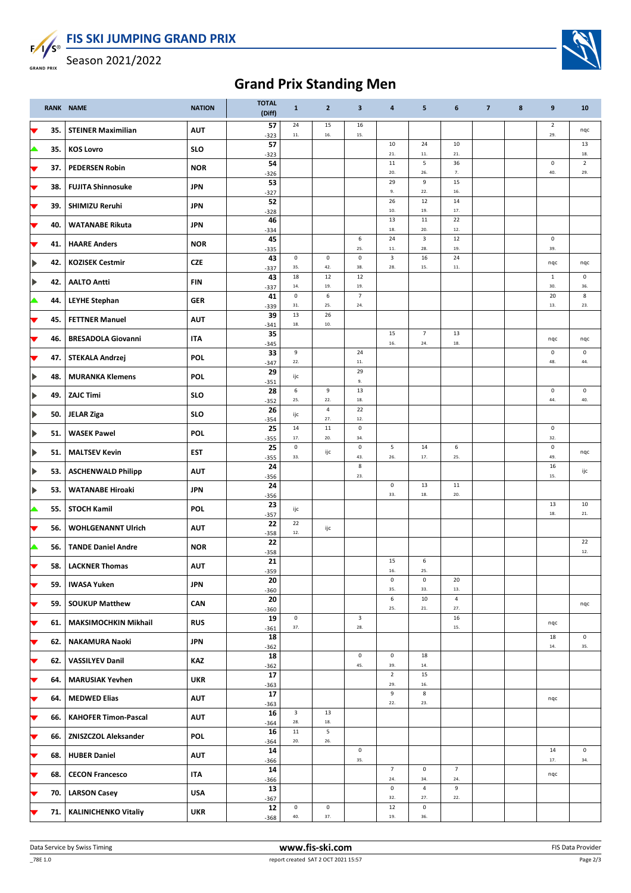

**FIS SKI JUMPING GRAND PRIX**

Season 2021/2022



|                          |     | RANK NAME                   | <b>NATION</b> | <b>TOTAL</b><br>(Diff) | $\mathbf{1}$                   | $\overline{2}$     | $\overline{\mathbf{3}}$        | 4                              | 5                     | 6                     | $\overline{7}$ | 8 | $\boldsymbol{9}$      | 10                         |
|--------------------------|-----|-----------------------------|---------------|------------------------|--------------------------------|--------------------|--------------------------------|--------------------------------|-----------------------|-----------------------|----------------|---|-----------------------|----------------------------|
| V                        | 35. | <b>STEINER Maximilian</b>   | <b>AUT</b>    | 57<br>$-323$           | 24<br>11.                      | 15<br>16.          | 16<br>15.                      |                                |                       |                       |                |   | $\overline{2}$<br>29. | nqc                        |
| ▲                        | 35. | <b>KOS Lovro</b>            | <b>SLO</b>    | 57<br>$-323$           |                                |                    |                                | 10<br>21.                      | 24<br>11.             | 10<br>21.             |                |   |                       | 13<br>18.                  |
| ▼                        | 37. | <b>PEDERSEN Robin</b>       | <b>NOR</b>    | 54<br>$-326$           |                                |                    |                                | 11<br>20.                      | 5<br>26.              | 36<br>7.              |                |   | $\mathsf 0$<br>40.    | $\overline{2}$<br>29.      |
| ▼                        | 38. | <b>FUJITA Shinnosuke</b>    | <b>JPN</b>    | 53<br>$-327$           |                                |                    |                                | 29<br>9.                       | 9<br>22.              | 15<br>16.             |                |   |                       |                            |
| V                        | 39. | SHIMIZU Reruhi              | <b>JPN</b>    | 52<br>$-328$           |                                |                    |                                | 26<br>10.                      | 12<br>19.             | 14<br>17.             |                |   |                       |                            |
|                          | 40. | <b>WATANABE Rikuta</b>      | <b>JPN</b>    | 46<br>$-334$           |                                |                    |                                | 13<br>18.                      | $11\,$<br>20.         | 22<br>12.             |                |   |                       |                            |
| ▼                        | 41. | <b>HAARE Anders</b>         | <b>NOR</b>    | 45<br>$-335$           |                                |                    | 6<br>25.                       | 24<br>$11.$                    | 3<br>28.              | 12<br>19.             |                |   | $\mathsf 0$<br>39.    |                            |
|                          | 42. | <b>KOZISEK Cestmir</b>      | <b>CZE</b>    | 43<br>$-337$           | 0<br>35.                       | $\mathsf 0$<br>42. | $\mathbf 0$<br>38.             | $\overline{\mathbf{3}}$<br>28. | 16<br>15.             | 24<br>11.             |                |   | nqc                   | nqc                        |
|                          | 42. | <b>AALTO Antti</b>          | <b>FIN</b>    | 43<br>$-337$           | 18<br>14.                      | 12<br>19.          | 12<br>19.                      |                                |                       |                       |                |   | $1\,$<br>30.          | $\mathsf{O}\xspace$<br>36. |
| ▲                        | 44. | <b>LEYHE Stephan</b>        | <b>GER</b>    | 41<br>$-339$           | $\pmb{0}$<br>31.               | 6<br>25.           | $\overline{7}$<br>24.          |                                |                       |                       |                |   | 20<br>13.             | 8<br>23.                   |
| $\blacktriangledown$     | 45. | <b>FETTNER Manuel</b>       | <b>AUT</b>    | 39<br>$-341$           | 13<br>18.                      | 26<br>$10.$        |                                |                                |                       |                       |                |   |                       |                            |
| $\overline{\phantom{a}}$ | 46. | <b>BRESADOLA Giovanni</b>   | <b>ITA</b>    | 35<br>$-345$           |                                |                    |                                | 15<br>16.                      | $\overline{7}$<br>24. | 13<br>18.             |                |   | nqc                   | nqc                        |
| ▼                        | 47. | <b>STEKALA Andrzej</b>      | POL           | 33<br>$-347$           | 9<br>$22.$                     |                    | 24<br>$11.$                    |                                |                       |                       |                |   | $\mathsf 0$<br>48.    | 0<br>44.                   |
|                          | 48. | <b>MURANKA Klemens</b>      | POL           | 29<br>$-351$           | ijc                            |                    | 29<br>9.                       |                                |                       |                       |                |   |                       |                            |
|                          | 49. | <b>ZAJC Timi</b>            | <b>SLO</b>    | 28<br>$-352$           | 6<br>25.                       | 9<br>22.           | 13<br>18.                      |                                |                       |                       |                |   | $\mathsf 0$<br>44.    | $\mathsf 0$<br>40.         |
|                          | 50. | <b>JELAR Ziga</b>           | <b>SLO</b>    | 26<br>$-354$           | ijc                            | $\pmb{4}$<br>27.   | 22<br>12.                      |                                |                       |                       |                |   |                       |                            |
|                          | 51. | <b>WASEK Pawel</b>          | POL           | 25<br>$-355$           | 14<br>$17. \,$                 | $11\,$<br>20.      | $\mathbf 0$<br>34.             |                                |                       |                       |                |   | $\mathsf 0$<br>32.    |                            |
|                          | 51. | <b>MALTSEV Kevin</b>        | <b>EST</b>    | 25<br>$-355$           | $\mathsf 0$<br>33.             | ijc                | $\mathsf 0$<br>43.             | 5<br>26.                       | 14<br>17.             | 6<br>25.              |                |   | $\mathsf 0$<br>49.    | nqc                        |
|                          | 53. | <b>ASCHENWALD Philipp</b>   | <b>AUT</b>    | 24<br>$-356$           |                                |                    | 8<br>23.                       |                                |                       |                       |                |   | 16<br>15.             | ijc                        |
|                          | 53. | <b>WATANABE Hiroaki</b>     | <b>JPN</b>    | 24<br>$-356$           |                                |                    |                                | $\mathsf 0$<br>33.             | 13<br>18.             | 11<br>20.             |                |   |                       |                            |
| ▲                        | 55. | <b>STOCH Kamil</b>          | POL           | 23<br>$-357$           | ijc                            |                    |                                |                                |                       |                       |                |   | 13<br>18.             | 10<br>21.                  |
| v                        | 56. | <b>WOHLGENANNT Ulrich</b>   | <b>AUT</b>    | 22<br>$-358$           | 22<br>12.                      | ijc                |                                |                                |                       |                       |                |   |                       |                            |
|                          | 56. | <b>TANDE Daniel Andre</b>   | <b>NOR</b>    | 22<br>$-358$           |                                |                    |                                |                                |                       |                       |                |   |                       | 22<br>12.                  |
|                          | 58. | <b>LACKNER Thomas</b>       | <b>AUT</b>    | 21<br>$-359$           |                                |                    |                                | 15<br>16.                      | 6<br>25.              |                       |                |   |                       |                            |
|                          | 59. | <b>IWASA Yuken</b>          | <b>JPN</b>    | 20<br>$-360$           |                                |                    |                                | 0<br>35.                       | $\pmb{0}$<br>33.      | 20<br>13.             |                |   |                       |                            |
| ▼                        | 59. | <b>SOUKUP Matthew</b>       | CAN           | 20<br>$-360$           |                                |                    |                                | 6<br>25.                       | 10<br>${\bf 21}.$     | $\sqrt{4}$<br>27.     |                |   |                       | nqc                        |
| ▼                        | 61. | <b>MAKSIMOCHKIN Mikhail</b> | <b>RUS</b>    | 19<br>$-361$           | $\mathsf 0$<br>37.             |                    | $\overline{\mathbf{3}}$<br>28. |                                |                       | 16<br>15.             |                |   | nqc                   |                            |
| ▼                        | 62. | <b>NAKAMURA Naoki</b>       | <b>JPN</b>    | 18<br>$-362$           |                                |                    |                                |                                |                       |                       |                |   | 18<br>$14.$           | $\mathsf{O}\xspace$<br>35. |
| ▼                        | 62. | <b>VASSILYEV Danil</b>      | <b>KAZ</b>    | 18<br>$-362$           |                                |                    | $\mathbf 0$<br>45.             | $\mathsf 0$<br>39.             | 18<br>$\bf 14.$       |                       |                |   |                       |                            |
| ▼                        | 64. | <b>MARUSIAK Yevhen</b>      | <b>UKR</b>    | 17<br>$-363$           |                                |                    |                                | $\overline{2}$<br>29.          | 15<br>16.             |                       |                |   |                       |                            |
| ▼                        | 64. | <b>MEDWED Elias</b>         | <b>AUT</b>    | 17<br>$-363$           |                                |                    |                                | 9<br>22.                       | $\bf 8$<br>23.        |                       |                |   | nqc                   |                            |
| ▼                        | 66. | <b>KAHOFER Timon-Pascal</b> | <b>AUT</b>    | 16<br>$-364$           | $\overline{\mathbf{3}}$<br>28. | 13<br>18.          |                                |                                |                       |                       |                |   |                       |                            |
| ▼                        |     | 66.   ZNISZCZOL Aleksander  | <b>POL</b>    | 16<br>$-364$           | 11<br>20.                      | 5<br>26.           |                                |                                |                       |                       |                |   |                       |                            |
| ▼                        | 68. | <b>HUBER Daniel</b>         | <b>AUT</b>    | ${\bf 14}$<br>$-366$   |                                |                    | $\mathbf 0$<br>35.             |                                |                       |                       |                |   | 14<br>17.             | $\mathsf 0$<br>34.         |
| ▼                        | 68. | <b>CECON Francesco</b>      | <b>ITA</b>    | 14<br>$-366$           |                                |                    |                                | $\overline{7}$<br>24.          | $\pmb{0}$<br>34.      | $\overline{7}$<br>24. |                |   | nqc                   |                            |
|                          | 70. | <b>LARSON Casey</b>         | <b>USA</b>    | 13<br>$-367$           |                                |                    |                                | $\mathsf 0$<br>32.             | $\sqrt{4}$<br>27.     | 9<br>22.              |                |   |                       |                            |
|                          | 71. | <b>KALINICHENKO Vitaliy</b> | <b>UKR</b>    | 12<br>$-368$           | $\mathsf 0$<br>40.             | $\mathsf 0$<br>37. |                                | 12<br>19.                      | $\pmb{0}$<br>36.      |                       |                |   |                       |                            |